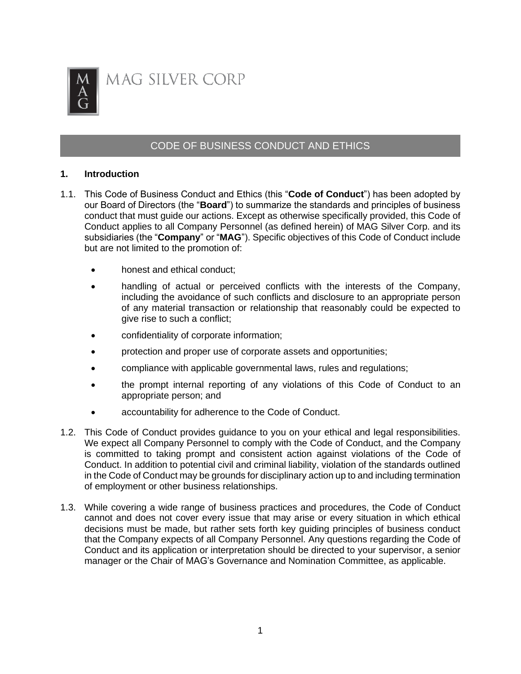

# CODE OF BUSINESS CONDUCT AND ETHICS

## **1. Introduction**

- 1.1. This Code of Business Conduct and Ethics (this "**Code of Conduct**") has been adopted by our Board of Directors (the "**Board**") to summarize the standards and principles of business conduct that must guide our actions. Except as otherwise specifically provided, this Code of Conduct applies to all Company Personnel (as defined herein) of MAG Silver Corp. and its subsidiaries (the "**Company**" or "**MAG**"). Specific objectives of this Code of Conduct include but are not limited to the promotion of:
	- honest and ethical conduct;
	- handling of actual or perceived conflicts with the interests of the Company, including the avoidance of such conflicts and disclosure to an appropriate person of any material transaction or relationship that reasonably could be expected to give rise to such a conflict;
	- confidentiality of corporate information;
	- protection and proper use of corporate assets and opportunities;
	- compliance with applicable governmental laws, rules and regulations;
	- the prompt internal reporting of any violations of this Code of Conduct to an appropriate person; and
	- accountability for adherence to the Code of Conduct.
- 1.2. This Code of Conduct provides guidance to you on your ethical and legal responsibilities. We expect all Company Personnel to comply with the Code of Conduct, and the Company is committed to taking prompt and consistent action against violations of the Code of Conduct. In addition to potential civil and criminal liability, violation of the standards outlined in the Code of Conduct may be grounds for disciplinary action up to and including termination of employment or other business relationships.
- 1.3. While covering a wide range of business practices and procedures, the Code of Conduct cannot and does not cover every issue that may arise or every situation in which ethical decisions must be made, but rather sets forth key guiding principles of business conduct that the Company expects of all Company Personnel. Any questions regarding the Code of Conduct and its application or interpretation should be directed to your supervisor, a senior manager or the Chair of MAG's Governance and Nomination Committee, as applicable.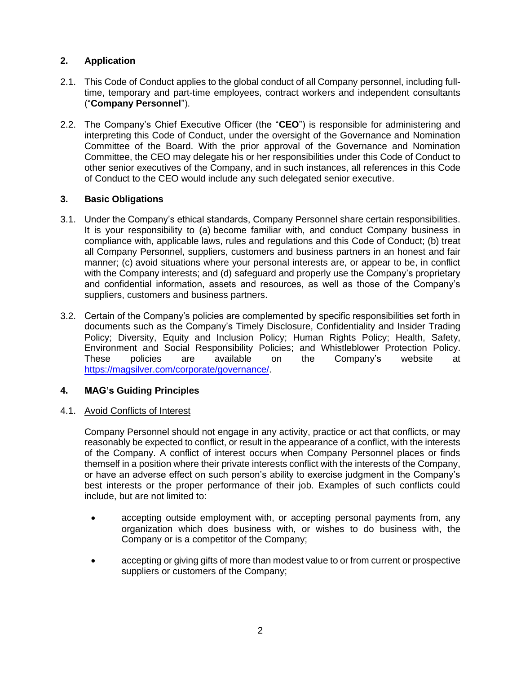## **2. Application**

- 2.1. This Code of Conduct applies to the global conduct of all Company personnel, including fulltime, temporary and part-time employees, contract workers and independent consultants ("**Company Personnel**").
- 2.2. The Company's Chief Executive Officer (the "**CEO**") is responsible for administering and interpreting this Code of Conduct, under the oversight of the Governance and Nomination Committee of the Board. With the prior approval of the Governance and Nomination Committee, the CEO may delegate his or her responsibilities under this Code of Conduct to other senior executives of the Company, and in such instances, all references in this Code of Conduct to the CEO would include any such delegated senior executive.

## **3. Basic Obligations**

- 3.1. Under the Company's ethical standards, Company Personnel share certain responsibilities. It is your responsibility to (a) become familiar with, and conduct Company business in compliance with, applicable laws, rules and regulations and this Code of Conduct; (b) treat all Company Personnel, suppliers, customers and business partners in an honest and fair manner; (c) avoid situations where your personal interests are, or appear to be, in conflict with the Company interests; and (d) safeguard and properly use the Company's proprietary and confidential information, assets and resources, as well as those of the Company's suppliers, customers and business partners.
- 3.2. Certain of the Company's policies are complemented by specific responsibilities set forth in documents such as the Company's Timely Disclosure, Confidentiality and Insider Trading Policy; Diversity, Equity and Inclusion Policy; Human Rights Policy; Health, Safety, Environment and Social Responsibility Policies; and Whistleblower Protection Policy. These policies are available on the Company's website at [https://magsilver.com/corporate/governance/.](https://magsilver.com/corporate/governance/)

## **4. MAG's Guiding Principles**

## 4.1. Avoid Conflicts of Interest

Company Personnel should not engage in any activity, practice or act that conflicts, or may reasonably be expected to conflict, or result in the appearance of a conflict, with the interests of the Company. A conflict of interest occurs when Company Personnel places or finds themself in a position where their private interests conflict with the interests of the Company, or have an adverse effect on such person's ability to exercise judgment in the Company's best interests or the proper performance of their job. Examples of such conflicts could include, but are not limited to:

- accepting outside employment with, or accepting personal payments from, any organization which does business with, or wishes to do business with, the Company or is a competitor of the Company;
- accepting or giving gifts of more than modest value to or from current or prospective suppliers or customers of the Company;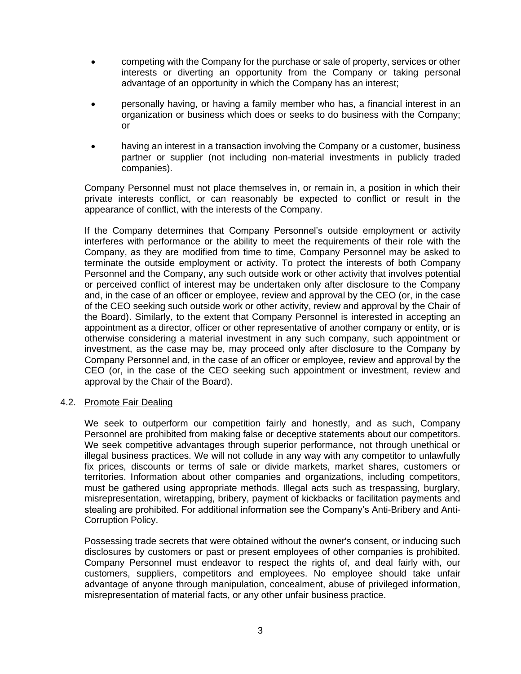- competing with the Company for the purchase or sale of property, services or other interests or diverting an opportunity from the Company or taking personal advantage of an opportunity in which the Company has an interest;
- personally having, or having a family member who has, a financial interest in an organization or business which does or seeks to do business with the Company; or
- having an interest in a transaction involving the Company or a customer, business partner or supplier (not including non-material investments in publicly traded companies).

Company Personnel must not place themselves in, or remain in, a position in which their private interests conflict, or can reasonably be expected to conflict or result in the appearance of conflict, with the interests of the Company.

If the Company determines that Company Personnel's outside employment or activity interferes with performance or the ability to meet the requirements of their role with the Company, as they are modified from time to time, Company Personnel may be asked to terminate the outside employment or activity. To protect the interests of both Company Personnel and the Company, any such outside work or other activity that involves potential or perceived conflict of interest may be undertaken only after disclosure to the Company and, in the case of an officer or employee, review and approval by the CEO (or, in the case of the CEO seeking such outside work or other activity, review and approval by the Chair of the Board). Similarly, to the extent that Company Personnel is interested in accepting an appointment as a director, officer or other representative of another company or entity, or is otherwise considering a material investment in any such company, such appointment or investment, as the case may be, may proceed only after disclosure to the Company by Company Personnel and, in the case of an officer or employee, review and approval by the CEO (or, in the case of the CEO seeking such appointment or investment, review and approval by the Chair of the Board).

## 4.2. Promote Fair Dealing

We seek to outperform our competition fairly and honestly, and as such, Company Personnel are prohibited from making false or deceptive statements about our competitors. We seek competitive advantages through superior performance, not through unethical or illegal business practices. We will not collude in any way with any competitor to unlawfully fix prices, discounts or terms of sale or divide markets, market shares, customers or territories. Information about other companies and organizations, including competitors, must be gathered using appropriate methods. Illegal acts such as trespassing, burglary, misrepresentation, wiretapping, bribery, payment of kickbacks or facilitation payments and stealing are prohibited. For additional information see the Company's Anti-Bribery and Anti-Corruption Policy.

Possessing trade secrets that were obtained without the owner's consent, or inducing such disclosures by customers or past or present employees of other companies is prohibited. Company Personnel must endeavor to respect the rights of, and deal fairly with, our customers, suppliers, competitors and employees. No employee should take unfair advantage of anyone through manipulation, concealment, abuse of privileged information, misrepresentation of material facts, or any other unfair business practice.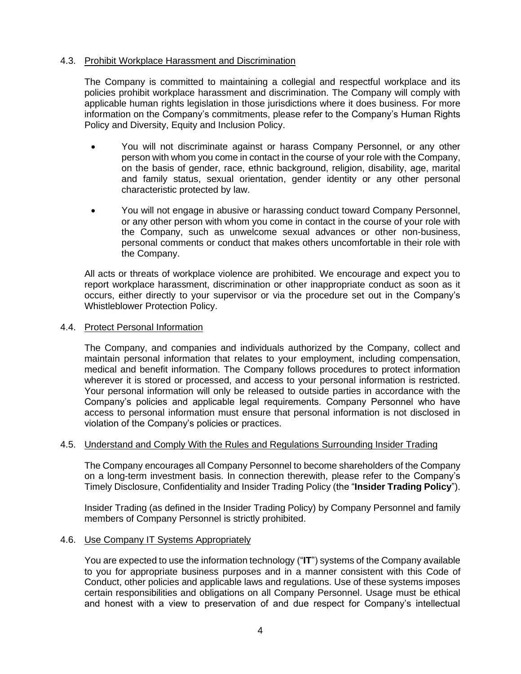### 4.3. Prohibit Workplace Harassment and Discrimination

The Company is committed to maintaining a collegial and respectful workplace and its policies prohibit workplace harassment and discrimination. The Company will comply with applicable human rights legislation in those jurisdictions where it does business. For more information on the Company's commitments, please refer to the Company's Human Rights Policy and Diversity, Equity and Inclusion Policy.

- You will not discriminate against or harass Company Personnel, or any other person with whom you come in contact in the course of your role with the Company, on the basis of gender, race, ethnic background, religion, disability, age, marital and family status, sexual orientation, gender identity or any other personal characteristic protected by law.
- You will not engage in abusive or harassing conduct toward Company Personnel, or any other person with whom you come in contact in the course of your role with the Company, such as unwelcome sexual advances or other non-business, personal comments or conduct that makes others uncomfortable in their role with the Company.

All acts or threats of workplace violence are prohibited. We encourage and expect you to report workplace harassment, discrimination or other inappropriate conduct as soon as it occurs, either directly to your supervisor or via the procedure set out in the Company's Whistleblower Protection Policy.

### 4.4. Protect Personal Information

The Company, and companies and individuals authorized by the Company, collect and maintain personal information that relates to your employment, including compensation, medical and benefit information. The Company follows procedures to protect information wherever it is stored or processed, and access to your personal information is restricted. Your personal information will only be released to outside parties in accordance with the Company's policies and applicable legal requirements. Company Personnel who have access to personal information must ensure that personal information is not disclosed in violation of the Company's policies or practices.

### 4.5. Understand and Comply With the Rules and Regulations Surrounding Insider Trading

The Company encourages all Company Personnel to become shareholders of the Company on a long-term investment basis. In connection therewith, please refer to the Company's Timely Disclosure, Confidentiality and Insider Trading Policy (the "**Insider Trading Policy**").

Insider Trading (as defined in the Insider Trading Policy) by Company Personnel and family members of Company Personnel is strictly prohibited.

#### 4.6. Use Company IT Systems Appropriately

You are expected to use the information technology ("**IT**") systems of the Company available to you for appropriate business purposes and in a manner consistent with this Code of Conduct, other policies and applicable laws and regulations. Use of these systems imposes certain responsibilities and obligations on all Company Personnel. Usage must be ethical and honest with a view to preservation of and due respect for Company's intellectual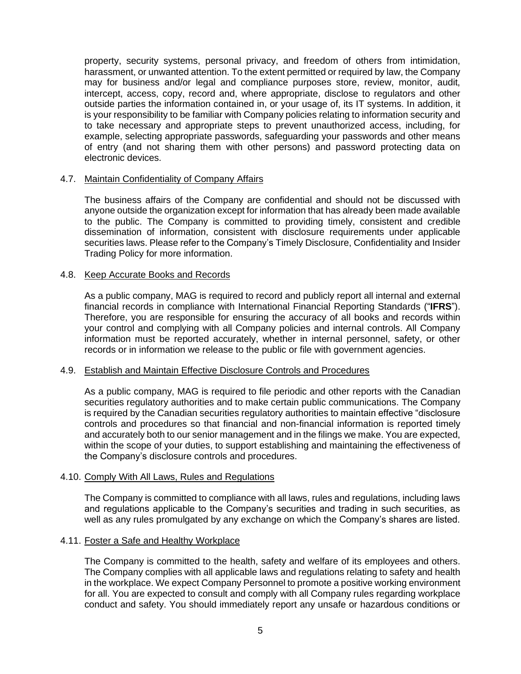property, security systems, personal privacy, and freedom of others from intimidation, harassment, or unwanted attention. To the extent permitted or required by law, the Company may for business and/or legal and compliance purposes store, review, monitor, audit, intercept, access, copy, record and, where appropriate, disclose to regulators and other outside parties the information contained in, or your usage of, its IT systems. In addition, it is your responsibility to be familiar with Company policies relating to information security and to take necessary and appropriate steps to prevent unauthorized access, including, for example, selecting appropriate passwords, safeguarding your passwords and other means of entry (and not sharing them with other persons) and password protecting data on electronic devices.

#### 4.7. Maintain Confidentiality of Company Affairs

The business affairs of the Company are confidential and should not be discussed with anyone outside the organization except for information that has already been made available to the public. The Company is committed to providing timely, consistent and credible dissemination of information, consistent with disclosure requirements under applicable securities laws. Please refer to the Company's Timely Disclosure, Confidentiality and Insider Trading Policy for more information.

### 4.8. Keep Accurate Books and Records

As a public company, MAG is required to record and publicly report all internal and external financial records in compliance with International Financial Reporting Standards ("**IFRS**"). Therefore, you are responsible for ensuring the accuracy of all books and records within your control and complying with all Company policies and internal controls. All Company information must be reported accurately, whether in internal personnel, safety, or other records or in information we release to the public or file with government agencies.

#### 4.9. Establish and Maintain Effective Disclosure Controls and Procedures

As a public company, MAG is required to file periodic and other reports with the Canadian securities regulatory authorities and to make certain public communications. The Company is required by the Canadian securities regulatory authorities to maintain effective "disclosure controls and procedures so that financial and non-financial information is reported timely and accurately both to our senior management and in the filings we make. You are expected, within the scope of your duties, to support establishing and maintaining the effectiveness of the Company's disclosure controls and procedures.

#### 4.10. Comply With All Laws, Rules and Regulations

The Company is committed to compliance with all laws, rules and regulations, including laws and regulations applicable to the Company's securities and trading in such securities, as well as any rules promulgated by any exchange on which the Company's shares are listed.

#### 4.11. Foster a Safe and Healthy Workplace

The Company is committed to the health, safety and welfare of its employees and others. The Company complies with all applicable laws and regulations relating to safety and health in the workplace. We expect Company Personnel to promote a positive working environment for all. You are expected to consult and comply with all Company rules regarding workplace conduct and safety. You should immediately report any unsafe or hazardous conditions or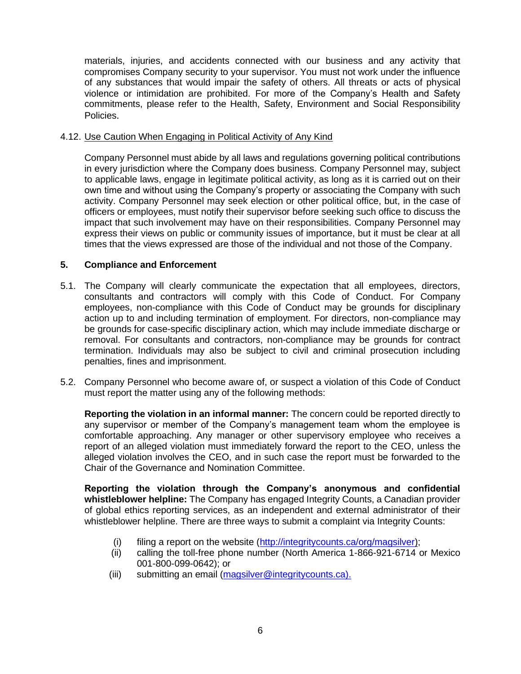materials, injuries, and accidents connected with our business and any activity that compromises Company security to your supervisor. You must not work under the influence of any substances that would impair the safety of others. All threats or acts of physical violence or intimidation are prohibited. For more of the Company's Health and Safety commitments, please refer to the Health, Safety, Environment and Social Responsibility Policies.

### 4.12. Use Caution When Engaging in Political Activity of Any Kind

Company Personnel must abide by all laws and regulations governing political contributions in every jurisdiction where the Company does business. Company Personnel may, subject to applicable laws, engage in legitimate political activity, as long as it is carried out on their own time and without using the Company's property or associating the Company with such activity. Company Personnel may seek election or other political office, but, in the case of officers or employees, must notify their supervisor before seeking such office to discuss the impact that such involvement may have on their responsibilities. Company Personnel may express their views on public or community issues of importance, but it must be clear at all times that the views expressed are those of the individual and not those of the Company.

### **5. Compliance and Enforcement**

- 5.1. The Company will clearly communicate the expectation that all employees, directors, consultants and contractors will comply with this Code of Conduct. For Company employees, non-compliance with this Code of Conduct may be grounds for disciplinary action up to and including termination of employment. For directors, non-compliance may be grounds for case-specific disciplinary action, which may include immediate discharge or removal. For consultants and contractors, non-compliance may be grounds for contract termination. Individuals may also be subject to civil and criminal prosecution including penalties, fines and imprisonment.
- 5.2. Company Personnel who become aware of, or suspect a violation of this Code of Conduct must report the matter using any of the following methods:

**Reporting the violation in an informal manner:** The concern could be reported directly to any supervisor or member of the Company's management team whom the employee is comfortable approaching. Any manager or other supervisory employee who receives a report of an alleged violation must immediately forward the report to the CEO, unless the alleged violation involves the CEO, and in such case the report must be forwarded to the Chair of the Governance and Nomination Committee.

**Reporting the violation through the Company's anonymous and confidential whistleblower helpline:** The Company has engaged Integrity Counts, a Canadian provider of global ethics reporting services, as an independent and external administrator of their whistleblower helpline. There are three ways to submit a complaint via Integrity Counts:

- (i) filing a report on the website [\(http://integritycounts.ca/org/magsilver\)](http://integritycounts.ca/org/magsilver);
- (ii) calling the toll-free phone number (North America 1-866-921-6714 or Mexico 001-800-099-0642); or
- (iii) submitting an email [\(magsilver@integritycounts.ca\)](mailto:magsilver@integritycounts.ca).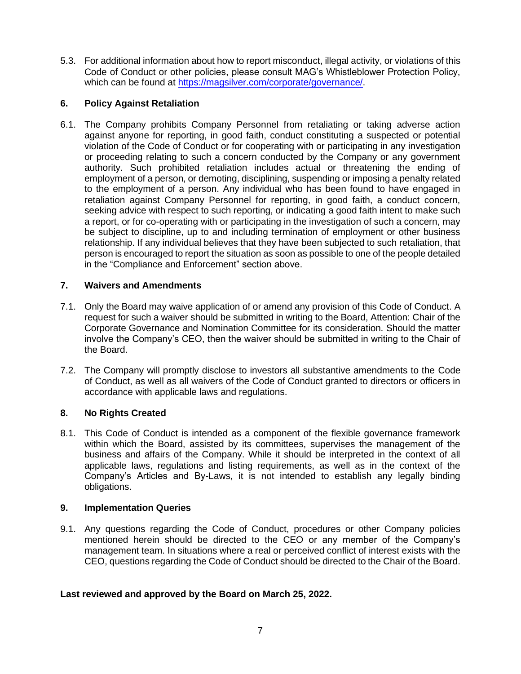5.3. For additional information about how to report misconduct, illegal activity, or violations of this Code of Conduct or other policies, please consult MAG's Whistleblower Protection Policy, which can be found at [https://magsilver.com/corporate/governance/.](https://magsilver.com/corporate/governance/)

## **6. Policy Against Retaliation**

6.1. The Company prohibits Company Personnel from retaliating or taking adverse action against anyone for reporting, in good faith, conduct constituting a suspected or potential violation of the Code of Conduct or for cooperating with or participating in any investigation or proceeding relating to such a concern conducted by the Company or any government authority. Such prohibited retaliation includes actual or threatening the ending of employment of a person, or demoting, disciplining, suspending or imposing a penalty related to the employment of a person. Any individual who has been found to have engaged in retaliation against Company Personnel for reporting, in good faith, a conduct concern, seeking advice with respect to such reporting, or indicating a good faith intent to make such a report, or for co-operating with or participating in the investigation of such a concern, may be subject to discipline, up to and including termination of employment or other business relationship. If any individual believes that they have been subjected to such retaliation, that person is encouraged to report the situation as soon as possible to one of the people detailed in the "Compliance and Enforcement" section above.

## **7. Waivers and Amendments**

- 7.1. Only the Board may waive application of or amend any provision of this Code of Conduct. A request for such a waiver should be submitted in writing to the Board, Attention: Chair of the Corporate Governance and Nomination Committee for its consideration. Should the matter involve the Company's CEO, then the waiver should be submitted in writing to the Chair of the Board.
- 7.2. The Company will promptly disclose to investors all substantive amendments to the Code of Conduct, as well as all waivers of the Code of Conduct granted to directors or officers in accordance with applicable laws and regulations.

## **8. No Rights Created**

8.1. This Code of Conduct is intended as a component of the flexible governance framework within which the Board, assisted by its committees, supervises the management of the business and affairs of the Company. While it should be interpreted in the context of all applicable laws, regulations and listing requirements, as well as in the context of the Company's Articles and By-Laws, it is not intended to establish any legally binding obligations.

## **9. Implementation Queries**

9.1. Any questions regarding the Code of Conduct, procedures or other Company policies mentioned herein should be directed to the CEO or any member of the Company's management team. In situations where a real or perceived conflict of interest exists with the CEO, questions regarding the Code of Conduct should be directed to the Chair of the Board.

## **Last reviewed and approved by the Board on March 25, 2022.**